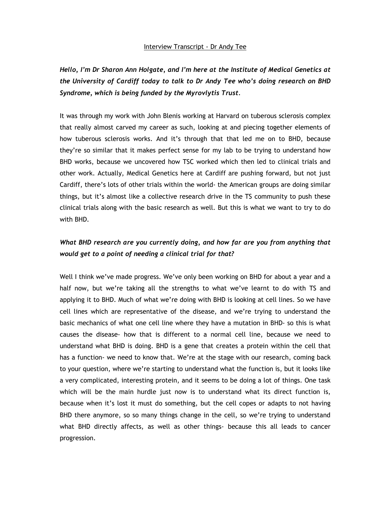#### Interview Transcript - Dr Andy Tee

*Hello, I'm Dr Sharon Ann Holgate, and I'm here at the Institute of Medical Genetics at the University of Cardiff today to talk to Dr Andy Tee who's doing research on BHD Syndrome, which is being funded by the Myrovlytis Trust.*

It was through my work with John Blenis working at Harvard on tuberous sclerosis complex that really almost carved my career as such, looking at and piecing together elements of how tuberous sclerosis works. And it's through that that led me on to BHD, because they're so similar that it makes perfect sense for my lab to be trying to understand how BHD works, because we uncovered how TSC worked which then led to clinical trials and other work. Actually, Medical Genetics here at Cardiff are pushing forward, but not just Cardiff, there's lots of other trials within the world- the American groups are doing similar things, but it's almost like a collective research drive in the TS community to push these clinical trials along with the basic research as well. But this is what we want to try to do with BHD.

# *What BHD research are you currently doing, and how far are you from anything that would get to a point of needing a clinical trial for that?*

Well I think we've made progress. We've only been working on BHD for about a year and a half now, but we're taking all the strengths to what we've learnt to do with TS and applying it to BHD. Much of what we're doing with BHD is looking at cell lines. So we have cell lines which are representative of the disease, and we're trying to understand the basic mechanics of what one cell line where they have a mutation in BHD- so this is what causes the disease- how that is different to a normal cell line, because we need to understand what BHD is doing. BHD is a gene that creates a protein within the cell that has a function- we need to know that. We're at the stage with our research, coming back to your question, where we're starting to understand what the function is, but it looks like a very complicated, interesting protein, and it seems to be doing a lot of things. One task which will be the main hurdle just now is to understand what its direct function is, because when it's lost it must do something, but the cell copes or adapts to not having BHD there anymore, so so many things change in the cell, so we're trying to understand what BHD directly affects, as well as other things- because this all leads to cancer progression.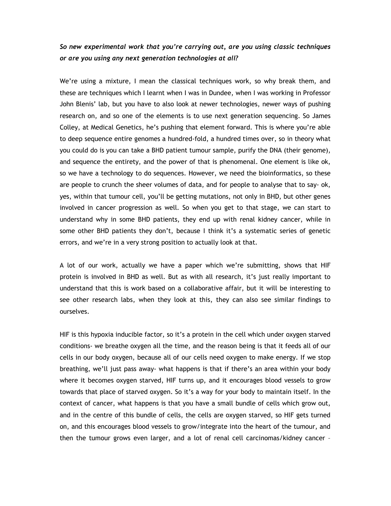## *So new experimental work that you're carrying out, are you using classic techniques or are you using any next generation technologies at all?*

We're using a mixture, I mean the classical techniques work, so why break them, and these are techniques which I learnt when I was in Dundee, when I was working in Professor John Blenis' lab, but you have to also look at newer technologies, newer ways of pushing research on, and so one of the elements is to use next generation sequencing. So James Colley, at Medical Genetics, he's pushing that element forward. This is where you're able to deep sequence entire genomes a hundred-fold, a hundred times over, so in theory what you could do is you can take a BHD patient tumour sample, purify the DNA (their genome), and sequence the entirety, and the power of that is phenomenal. One element is like ok, so we have a technology to do sequences. However, we need the bioinformatics, so these are people to crunch the sheer volumes of data, and for people to analyse that to say- ok, yes, within that tumour cell, you'll be getting mutations, not only in BHD, but other genes involved in cancer progression as well. So when you get to that stage, we can start to understand why in some BHD patients, they end up with renal kidney cancer, while in some other BHD patients they don't, because I think it's a systematic series of genetic errors, and we're in a very strong position to actually look at that.

A lot of our work, actually we have a paper which we're submitting, shows that HIF protein is involved in BHD as well. But as with all research, it's just really important to understand that this is work based on a collaborative affair, but it will be interesting to see other research labs, when they look at this, they can also see similar findings to ourselves.

HIF is this hypoxia inducible factor, so it's a protein in the cell which under oxygen starved conditions- we breathe oxygen all the time, and the reason being is that it feeds all of our cells in our body oxygen, because all of our cells need oxygen to make energy. If we stop breathing, we'll just pass away- what happens is that if there's an area within your body where it becomes oxygen starved, HIF turns up, and it encourages blood vessels to grow towards that place of starved oxygen. So it's a way for your body to maintain itself. In the context of cancer, what happens is that you have a small bundle of cells which grow out, and in the centre of this bundle of cells, the cells are oxygen starved, so HIF gets turned on, and this encourages blood vessels to grow/integrate into the heart of the tumour, and then the tumour grows even larger, and a lot of renal cell carcinomas/kidney cancer –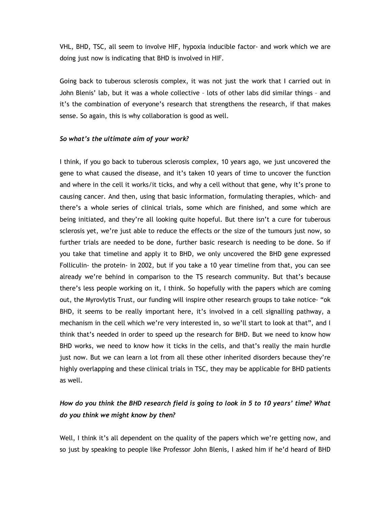VHL, BHD, TSC, all seem to involve HIF, hypoxia inducible factor- and work which we are doing just now is indicating that BHD is involved in HIF.

Going back to tuberous sclerosis complex, it was not just the work that I carried out in John Blenis' lab, but it was a whole collective – lots of other labs did similar things – and it's the combination of everyone's research that strengthens the research, if that makes sense. So again, this is why collaboration is good as well.

### *So what's the ultimate aim of your work?*

I think, if you go back to tuberous sclerosis complex, 10 years ago, we just uncovered the gene to what caused the disease, and it's taken 10 years of time to uncover the function and where in the cell it works/it ticks, and why a cell without that gene, why it's prone to causing cancer. And then, using that basic information, formulating therapies, which- and there's a whole series of clinical trials, some which are finished, and some which are being initiated, and they're all looking quite hopeful. But there isn't a cure for tuberous sclerosis yet, we're just able to reduce the effects or the size of the tumours just now, so further trials are needed to be done, further basic research is needing to be done. So if you take that timeline and apply it to BHD, we only uncovered the BHD gene expressed Folliculin- the protein- in 2002, but if you take a 10 year timeline from that, you can see already we're behind in comparison to the TS research community. But that's because there's less people working on it, I think. So hopefully with the papers which are coming out, the Myrovlytis Trust, our funding will inspire other research groups to take notice- "ok BHD, it seems to be really important here, it's involved in a cell signalling pathway, a mechanism in the cell which we're very interested in, so we'll start to look at that", and I think that's needed in order to speed up the research for BHD. But we need to know how BHD works, we need to know how it ticks in the cells, and that's really the main hurdle just now. But we can learn a lot from all these other inherited disorders because they're highly overlapping and these clinical trials in TSC, they may be applicable for BHD patients as well.

# *How do you think the BHD research field is going to look in 5 to 10 years' time? What do you think we might know by then?*

Well, I think it's all dependent on the quality of the papers which we're getting now, and so just by speaking to people like Professor John Blenis, I asked him if he'd heard of BHD